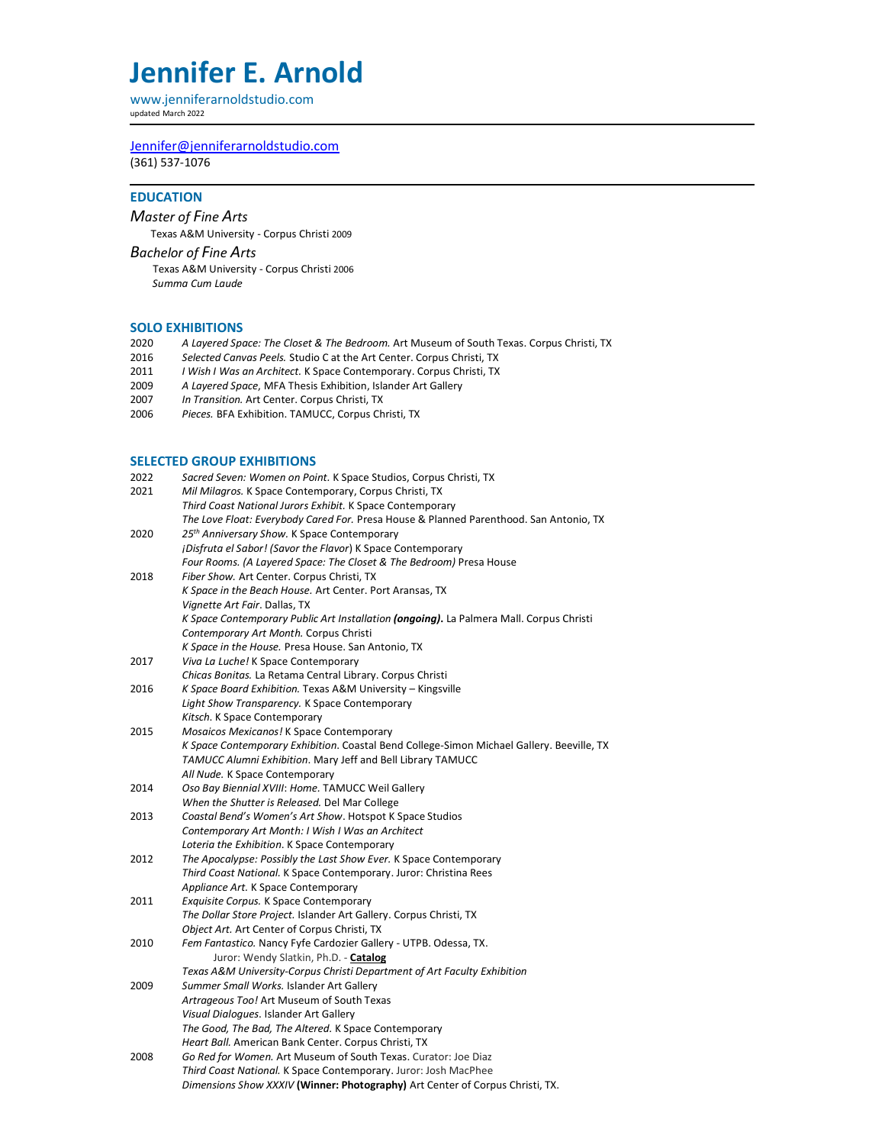# **Jennifer E. Arnold**

www.jenniferarnoldstudio.com updated March 2022

[Jennifer@jenniferarnoldstudio.com](mailto:Jennifer@jenniferarnoldstudio.com) (361) 537-1076

### **EDUCATION**

*Master of Fine Arts*

Texas A&M University - Corpus Christi 2009

*Bachelor of Fine Arts*

Texas A&M University - Corpus Christi <sup>2006</sup> *Summa Cum Laude*

# **SOLO EXHIBITIONS**<br>2020 A Layered Spo

- 2020 *A Layered Space: The Closet & The Bedroom.* Art Museum of South Texas. Corpus Christi, TX
- 2016 *Selected Canvas Peels.* Studio C at the Art Center. Corpus Christi, TX
- 2011 *I Wish I Was an Architect.* K Space Contemporary. Corpus Christi, TX
- 2009 *A Layered Space*, MFA Thesis Exhibition, Islander Art Gallery
- 2007 *In Transition.* Art Center. Corpus Christi, TX
- Pieces. BFA Exhibition. TAMUCC, Corpus Christi, TX

## **SELECTED GROUP EXHIBITIONS**

| 2022 | Sacred Seven: Women on Point. K Space Studios, Corpus Christi, TX                         |
|------|-------------------------------------------------------------------------------------------|
| 2021 | Mil Milagros. K Space Contemporary, Corpus Christi, TX                                    |
|      | Third Coast National Jurors Exhibit. K Space Contemporary                                 |
|      | The Love Float: Everybody Cared For. Presa House & Planned Parenthood. San Antonio, TX    |
| 2020 | 25th Anniversary Show. K Space Contemporary                                               |
|      | jDisfruta el Sabor! (Savor the Flavor) K Space Contemporary                               |
|      | Four Rooms. (A Layered Space: The Closet & The Bedroom) Presa House                       |
| 2018 | Fiber Show. Art Center. Corpus Christi, TX                                                |
|      | K Space in the Beach House. Art Center. Port Aransas, TX                                  |
|      | Vignette Art Fair. Dallas, TX                                                             |
|      | K Space Contemporary Public Art Installation (ongoing). La Palmera Mall. Corpus Christi   |
|      | Contemporary Art Month. Corpus Christi                                                    |
|      | K Space in the House. Presa House. San Antonio, TX                                        |
| 2017 | Viva La Luche! K Space Contemporary                                                       |
|      | Chicas Bonitas. La Retama Central Library. Corpus Christi                                 |
| 2016 | K Space Board Exhibition. Texas A&M University - Kingsville                               |
|      | Light Show Transparency. K Space Contemporary                                             |
|      | Kitsch. K Space Contemporary                                                              |
| 2015 | Mosaicos Mexicanos! K Space Contemporary                                                  |
|      | K Space Contemporary Exhibition. Coastal Bend College-Simon Michael Gallery. Beeville, TX |
|      | TAMUCC Alumni Exhibition. Mary Jeff and Bell Library TAMUCC                               |
|      | All Nude. K Space Contemporary                                                            |
| 2014 | Oso Bay Biennial XVIII: Home. TAMUCC Weil Gallery                                         |
|      | When the Shutter is Released. Del Mar College                                             |
| 2013 | Coastal Bend's Women's Art Show. Hotspot K Space Studios                                  |
|      | Contemporary Art Month: I Wish I Was an Architect                                         |
|      | Loteria the Exhibition. K Space Contemporary                                              |
| 2012 | The Apocalypse: Possibly the Last Show Ever. K Space Contemporary                         |
|      | Third Coast National. K Space Contemporary. Juror: Christina Rees                         |
|      | Appliance Art. K Space Contemporary                                                       |
| 2011 | Exquisite Corpus. K Space Contemporary                                                    |
|      | The Dollar Store Project. Islander Art Gallery. Corpus Christi, TX                        |
|      | Object Art. Art Center of Corpus Christi, TX                                              |
| 2010 | Fem Fantastico. Nancy Fyfe Cardozier Gallery - UTPB. Odessa, TX.                          |
|      | Juror: Wendy Slatkin, Ph.D. - Catalog                                                     |
|      | Texas A&M University-Corpus Christi Department of Art Faculty Exhibition                  |
| 2009 | Summer Small Works. Islander Art Gallery                                                  |
|      | Artrageous Too! Art Museum of South Texas                                                 |
|      | Visual Dialogues. Islander Art Gallery                                                    |
|      | The Good, The Bad, The Altered. K Space Contemporary                                      |
|      | Heart Ball. American Bank Center. Corpus Christi, TX                                      |
| 2008 | Go Red for Women. Art Museum of South Texas. Curator: Joe Diaz                            |
|      | Third Coast National. K Space Contemporary. Juror: Josh MacPhee                           |
|      | Dimensions Show XXXIV (Winner: Photography) Art Center of Corpus Christi, TX.             |
|      |                                                                                           |